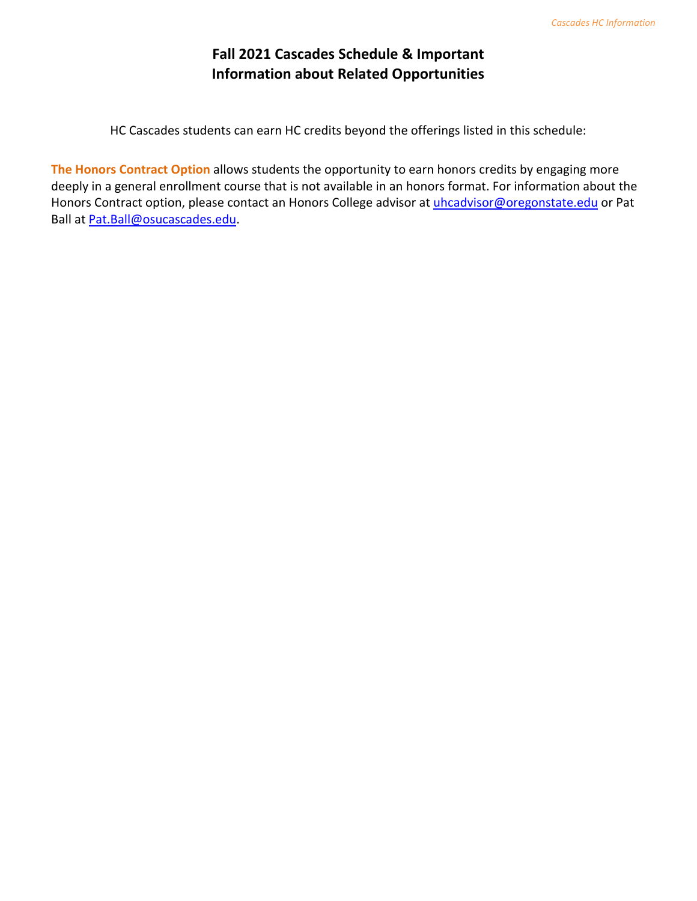### **Fall 2021 Cascades Schedule & Important Information about Related Opportunities**

HC Cascades students can earn HC credits beyond the offerings listed in this schedule:

**The Honors Contract Option** allows students the opportunity to earn honors credits by engaging more deeply in a general enrollment course that is not available in an honors format. For information about the Honors Contract option, please contact an Honors College advisor at [uhcadvisor@oregonstate.edu](mailto:uhcadvisor@oregonstate.edu) or Pat Ball at [Pat.Ball@osucascades.edu.](mailto:Pat.Ball@osucascades.edu)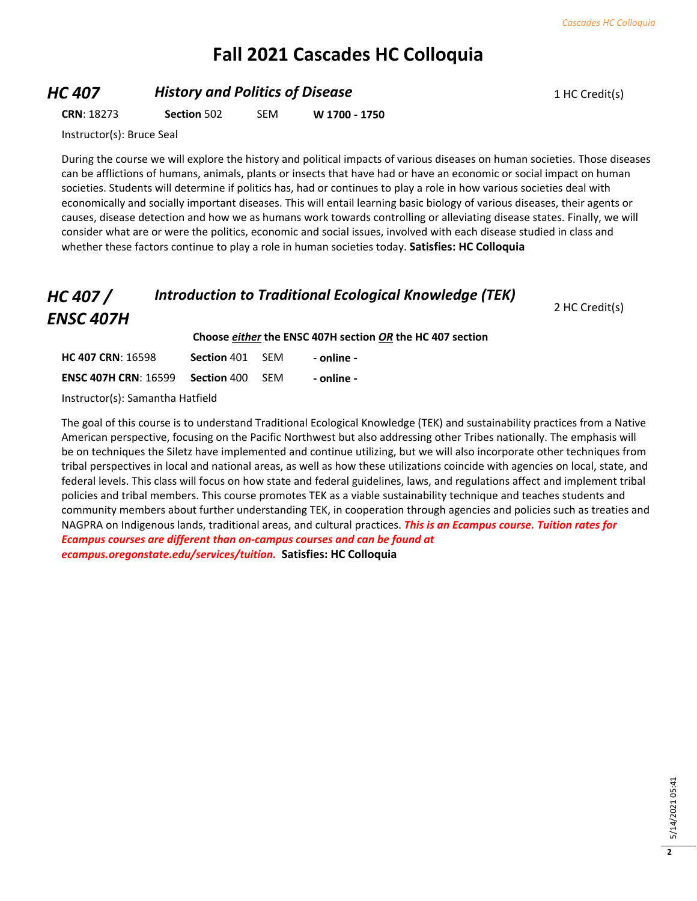### **Fall 2021 Cascades HC Colloquia**

#### **HC 407 History and Politics of Disease** 1 HC Credit(s)

**CRN**: 18273 **Section** 502 SEM **W 1700 - 1750**

Instructor(s): Bruce Seal

During the course we will explore the history and political impacts of various diseases on human societies. Those diseases can be afflictions of humans, animals, plants or insects that have had or have an economic or social impact on human societies. Students will determine if politics has, had or continues to play a role in how various societies deal with economically and socially important diseases. This will entail learning basic biology of various diseases, their agents or causes, disease detection and how we as humans work towards controlling or alleviating disease states. Finally, we will consider what are or were the politics, economic and social issues, involved with each disease studied in class and whether these factors continue to play a role in human societies today. **Satisfies: HC Colloquia**

#### *HC 407 / ENSC 407H Introduction to Traditional Ecological Knowledge (TEK)*

2 HC Credit(s)

**Choose** *either* **the ENSC 407H section** *OR* **the HC 407 section**

| <b>HC 407 CRN: 16598</b>    | Section 401 | -SFM | - online - |
|-----------------------------|-------------|------|------------|
| <b>ENSC 407H CRN: 16599</b> | Section 400 | -SFM | - online - |

Instructor(s): Samantha Hatfield

The goal of this course is to understand Traditional Ecological Knowledge (TEK) and sustainability practices from a Native American perspective, focusing on the Pacific Northwest but also addressing other Tribes nationally. The emphasis will be on techniques the Siletz have implemented and continue utilizing, but we will also incorporate other techniques from tribal perspectives in local and national areas, as well as how these utilizations coincide with agencies on local, state, and federal levels. This class will focus on how state and federal guidelines, laws, and regulations affect and implement tribal policies and tribal members. This course promotes TEK as a viable sustainability technique and teaches students and community members about further understanding TEK, in cooperation through agencies and policies such as treaties and NAGPRA on Indigenous lands, traditional areas, and cultural practices. *This is an Ecampus course. Tuition rates for Ecampus courses are different than on-campus courses and can be found at ecampus.oregonstate.edu/services/tuition.* **Satisfies: HC Colloquia**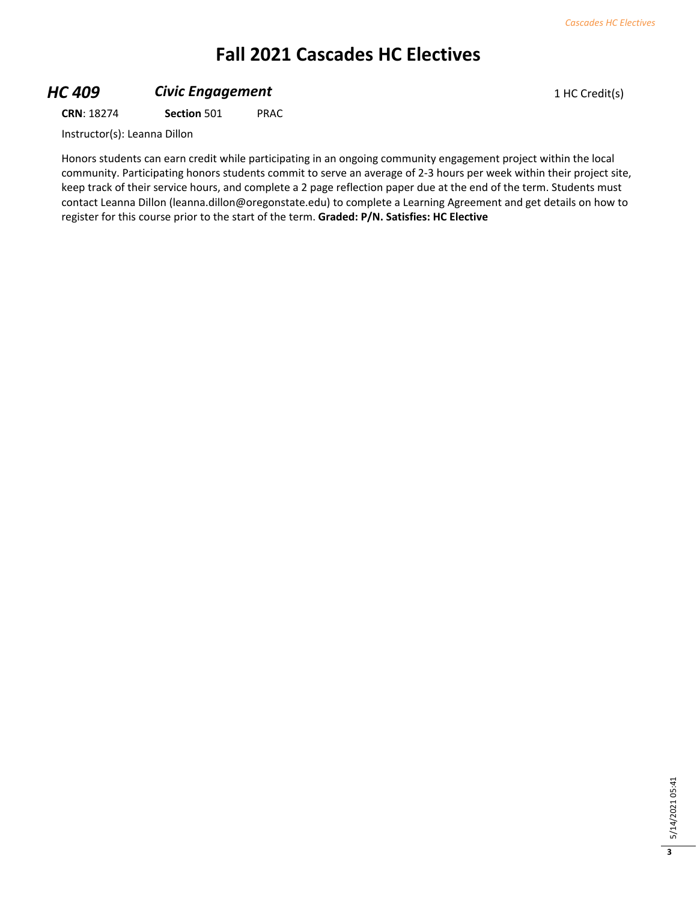# **Fall 2021 Cascades HC Electives**

### **HC 409 Civic Engagement Civic Engagement** 1 HC Credit(s)

**CRN**: 18274 **Section** 501 PRAC

Instructor(s): Leanna Dillon

Honors students can earn credit while participating in an ongoing community engagement project within the local community. Participating honors students commit to serve an average of 2-3 hours per week within their project site, keep track of their service hours, and complete a 2 page reflection paper due at the end of the term. Students must contact Leanna Dillon (leanna.dillon@oregonstate.edu) to complete a Learning Agreement and get details on how to register for this course prior to the start of the term. **Graded: P/N. Satisfies: HC Elective**